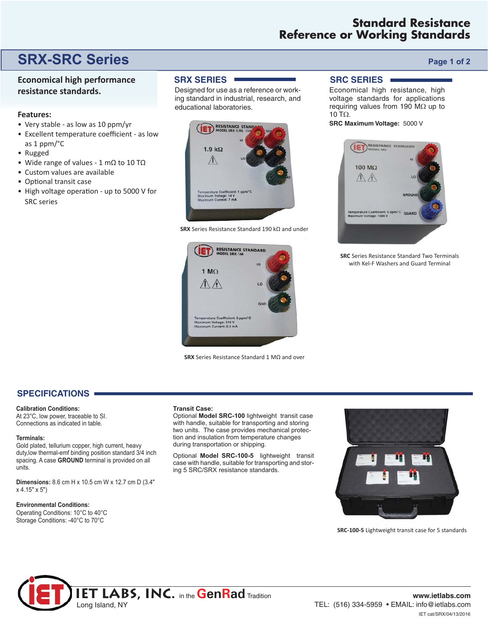## **Standard Resistance Reference or Working Standards**

# **SRX-SRC Series** *Page 1 of 2*

### **Economical high performance resistance standards.**

#### **Features:**

- Very stable as low as 10 ppm/yr
- Excellent temperature coefficient as low as 1 ppm/°C
- Rugged
- Wide range of values 1 mΩ to 10 TΩ
- Custom values are available
- Optional transit case
- High voltage operation up to 5000 V for SRC series

#### **SRX SERIES**

Designed for use as a reference or working standard in industrial, research, and educational laboratories.



**SRX** Series Resistance Standard 190 kΩ and under



**SRX** Series Resistance Standard 1 MΩ and over

### **SRC SERIES**

Economical high resistance, high voltage standards for applications requiring values from 190 M $\Omega$  up to 10 TΩ.

**SRC Maximum Voltage:** 5000 V



**SRC** Series Resistance Standard Two Terminals with Kel-F Washers and Guard Terminal

#### **SPECIFICATIONS**

**Calibration Conditions:** 

At 23°C, low power, traceable to SI. Connections as indicated in table.

#### **Terminals:**

Gold plated, tellurium copper, high current, heavy duty,low thermal-emf binding position standard 3/4 inch spacing. A case **GROUND** terminal is provided on all units.

**Dimensions:** 8.6 cm H x 10.5 cm W x 12.7 cm D (3.4" x 4.15" x 5")

#### **Environmental Conditions:**

Operating Conditions: 10°C to 40°C Storage Conditions: -40°C to 70°C

#### **Transit Case:**

Optional **Model SRC-100** lightweight transit case with handle, suitable for transporting and storing two units. The case provides mechanical protection and insulation from temperature changes during transportation or shipping.

Optional Model SRC-100-5 lightweight transit case with handle, suitable for transporting and storing 5 SRC/SRX resistance standards.



**SRC-100-5** Lightweight transit case for 5 standards